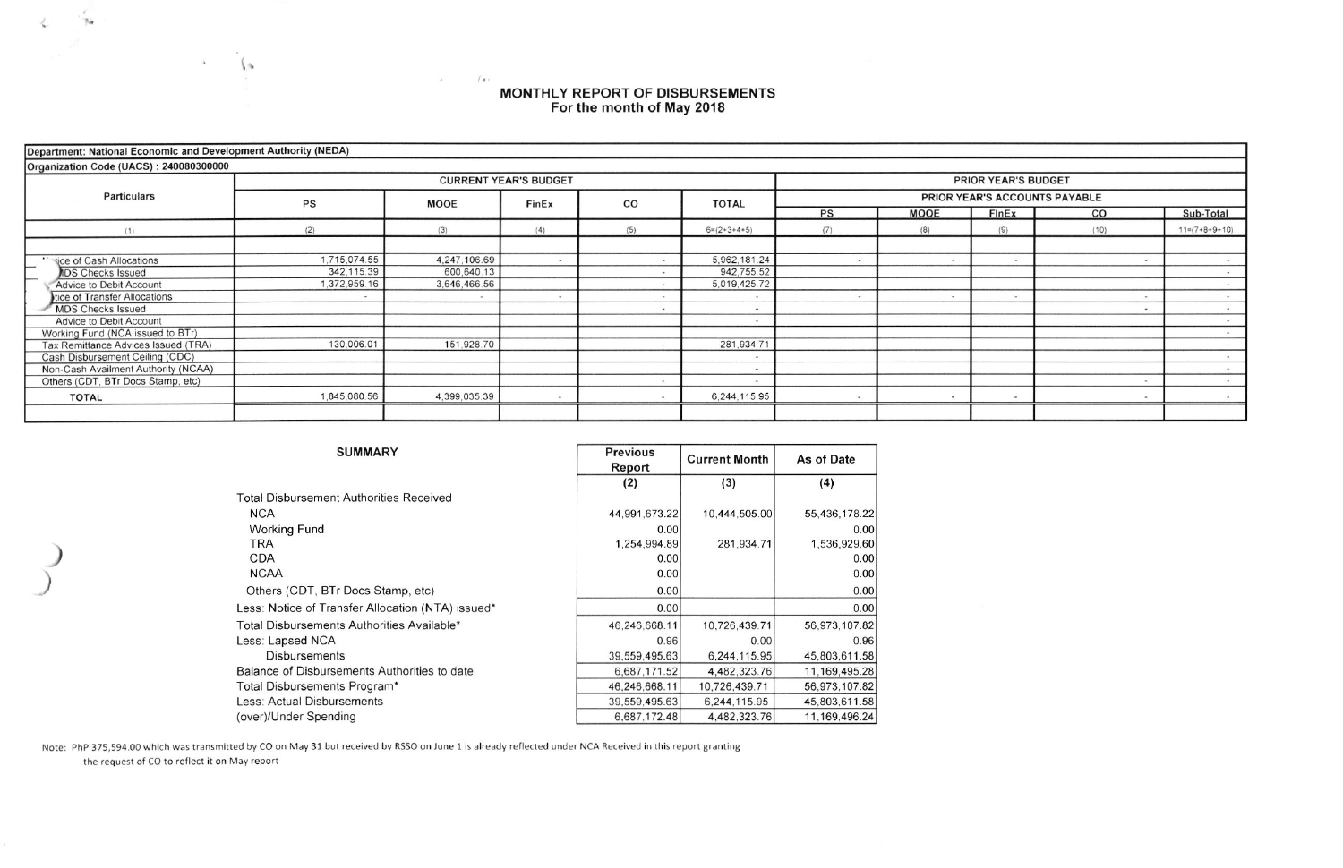## MONTHLY REPORT OF DISBURSEMENTS<br>For the month of May 2018

| Department: National Economic and Development Authority (NEDA) |              |              |                              |     |                            |                               |             |              |                          |                 |  |  |  |  |
|----------------------------------------------------------------|--------------|--------------|------------------------------|-----|----------------------------|-------------------------------|-------------|--------------|--------------------------|-----------------|--|--|--|--|
| Organization Code (UACS): 240080300000                         |              |              |                              |     |                            |                               |             |              |                          |                 |  |  |  |  |
| <b>Particulars</b>                                             |              |              | <b>CURRENT YEAR'S BUDGET</b> |     | <b>PRIOR YEAR'S BUDGET</b> |                               |             |              |                          |                 |  |  |  |  |
|                                                                | <b>PS</b>    | <b>MOOE</b>  | FinEx                        | CO  | <b>TOTAL</b>               | PRIOR YEAR'S ACCOUNTS PAYABLE |             |              |                          |                 |  |  |  |  |
|                                                                |              |              |                              |     |                            | PS                            | <b>MOOE</b> | <b>FInEx</b> | CO                       | Sub-Total       |  |  |  |  |
| (1)                                                            | (2)          | (3)          | (4)                          | (5) | $6=(2+3+4+5)$              | (7)                           | (8)         | (9)          | (10)                     | $11=(7+8+9+10)$ |  |  |  |  |
|                                                                |              |              |                              |     |                            |                               |             |              |                          |                 |  |  |  |  |
| tice of Cash Allocations                                       | 1.715.074.55 | 4,247,106.69 | $\overline{\phantom{a}}$     |     | 5,962,181.24               |                               |             |              |                          |                 |  |  |  |  |
| <b>IDS Checks Issued</b>                                       | 342,115.39   | 600,640.13   |                              |     | 942,755.52                 |                               |             |              |                          |                 |  |  |  |  |
| Advice to Debit Account                                        | 1,372,959.16 | 3,646,466.56 |                              |     | 5,019,425.72               |                               |             |              |                          |                 |  |  |  |  |
| tice of Transfer Allocations                                   |              |              |                              |     |                            |                               |             |              |                          |                 |  |  |  |  |
| MDS Checks Issued                                              |              |              |                              |     |                            |                               |             |              |                          |                 |  |  |  |  |
| Advice to Debit Account                                        |              |              |                              |     | $\sim$                     |                               |             |              |                          |                 |  |  |  |  |
| Working Fund (NCA issued to BTr)                               |              |              |                              |     |                            |                               |             |              |                          |                 |  |  |  |  |
| Tax Remittance Advices Issued (TRA)                            | 130,006.01   | 151,928.70   |                              |     | 281,934.71                 |                               |             |              |                          |                 |  |  |  |  |
| Cash Disbursement Ceiling (CDC)                                |              |              |                              |     |                            |                               |             |              |                          |                 |  |  |  |  |
| Non-Cash Availment Authority (NCAA)                            |              |              |                              |     | $\overline{\phantom{a}}$   |                               |             |              |                          |                 |  |  |  |  |
| Others (CDT, BTr Docs Stamp, etc)                              |              |              |                              |     | <b>Sec</b>                 |                               |             |              | $\overline{\phantom{a}}$ | $\sim$ 40 $\pm$ |  |  |  |  |
| <b>TOTAL</b>                                                   | 1,845,080.56 | 4,399,035.39 |                              |     | 6,244,115.95               |                               |             |              |                          |                 |  |  |  |  |
|                                                                |              |              |                              |     |                            |                               |             |              |                          |                 |  |  |  |  |

| <b>SUMMARY</b>                                    | <b>Previous</b><br>Report | <b>Current Month</b> | As of Date    |  |
|---------------------------------------------------|---------------------------|----------------------|---------------|--|
|                                                   | (2)                       | (3)                  | (4)           |  |
| <b>Total Disbursement Authorities Received</b>    |                           |                      |               |  |
| <b>NCA</b>                                        | 44,991,673.22             | 10,444,505.00        | 55,436,178.22 |  |
| <b>Working Fund</b>                               | 0.00                      |                      | 0.00          |  |
| TRA.                                              | 1,254,994.89              | 281,934.71           | 1,536,929.60  |  |
| <b>CDA</b>                                        | 0.00                      |                      | 0.00          |  |
| <b>NCAA</b>                                       | 0.00                      |                      | 0.001         |  |
| Others (CDT, BTr Docs Stamp, etc)                 | 0.00                      |                      | 0.00          |  |
| Less: Notice of Transfer Allocation (NTA) issued* | 0.00                      |                      | 0.00          |  |
| Total Disbursements Authorities Available*        | 46,246,668.11             | 10,726,439.71        | 56,973,107.82 |  |
| Less: Lapsed NCA                                  | 0.96                      | 0.00                 | 0.96          |  |
| <b>Disbursements</b>                              | 39,559,495.63             | 6.244,115.95         | 45,803,611.58 |  |
| Balance of Disbursements Authorities to date      | 6.687.171.52              | 4.482.323.76         | 11.169.495.28 |  |
| Total Disbursements Program*                      | 46,246,668.11             | 10.726.439.71        | 56,973,107.82 |  |
| Less: Actual Disbursements                        | 39,559,495.63             | 6,244,115.95         | 45,803,611.58 |  |
| (over)/Under Spending                             | 6.687.172.48              | 4.482.323.76         | 11.169.496.24 |  |

Note: PhP 375,594.00 which was transmitted by CO on May 31 but received by RSSO on June 1 is already reflected under NCA Received in this report granting the request of CO to reflect it on May report

 $\lambda$ 

 $\ell$  is  $r$ 

 $\gamma_{\rm{th}}$ 

 $\langle \cdot \rangle_{\rm b}$ 

 $\Lambda$